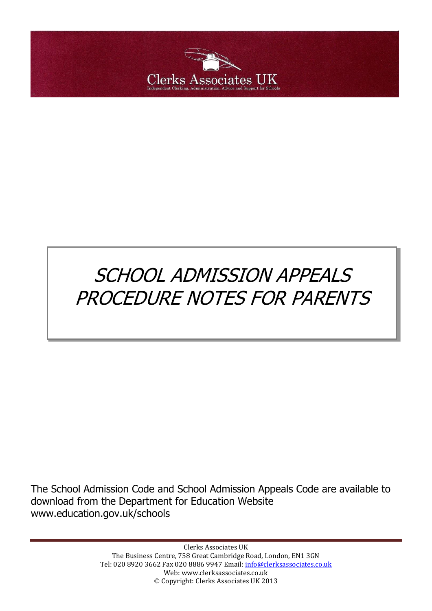

# SCHOOL ADMISSION APPEALS PROCEDURE NOTES FOR PARENTS

The School Admission Code and School Admission Appeals Code are available to download from the Department for Education Website www.education.gov.uk/schools

> Clerks Associates UK The Business Centre, 758 Great Cambridge Road, London, EN1 3GN Tel: 020 8920 3662 Fax 020 8886 9947 Email: [info@clerksassociates.co.uk](mailto:info@clerksassociates.co.uk) Web: www.clerksassociates.co.uk © Copyright: Clerks Associates UK 2013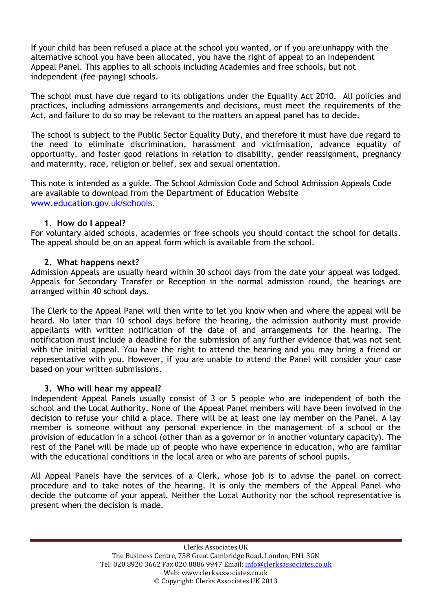If your child has been refused a place at the school you wanted, or if you are unhappy with the alternative school you have been allocated, you have the right of appeal to an Independent Appeal Panel. This applies to all schools including Academies and free schools, but not independent (fee-paying) schools.

The school must have due regard to its obligations under the Equality Act 2010. All policies and practices, including admissions arrangements and decisions, must meet the requirements of the Act, and failure to do so may be relevant to the matters an appeal panel has to decide.

The school is subject to the Public Sector Equality Duty, and therefore it must have due regard to the need to eliminate discrimination, harassment and victimisation, advance equality of opportunity, and foster good relations in relation to disability, gender reassignment, pregnancy and maternity, race, religion or belief, sex and sexual orientation.

This note is intended as a guide. The School Admission Code and School Admission Appeals Code are available to download from the Department of Education Website www.education.gov.uk/schools.

## **1. How do I appeal?**

For voluntary aided schools, academies or free schools you should contact the school for details. The appeal should be on an appeal form which is available from the school.

## **2. What happens next?**

Admission Appeals are usually heard within 30 school days from the date your appeal was lodged. Appeals for Secondary Transfer or Reception in the normal admission round, the hearings are arranged within 40 school days.

The Clerk to the Appeal Panel will then write to let you know when and where the appeal will be heard. No later than 10 school days before the hearing, the admission authority must provide appellants with written notification of the date of and arrangements for the hearing. The notification must include a deadline for the submission of any further evidence that was not sent with the initial appeal. You have the right to attend the hearing and you may bring a friend or representative with you. However, if you are unable to attend the Panel will consider your case based on your written submissions.

## **3. Who will hear my appeal?**

Independent Appeal Panels usually consist of 3 or 5 people who are independent of both the school and the Local Authority. None of the Appeal Panel members will have been involved in the decision to refuse your child a place. There will be at least one lay member on the Panel. A lay member is someone without any personal experience in the management of a school or the provision of education in a school (other than as a governor or in another voluntary capacity). The rest of the Panel will be made up of people who have experience in education, who are familiar with the educational conditions in the local area or who are parents of school pupils.

All Appeal Panels have the services of a Clerk, whose job is to advise the panel on correct procedure and to take notes of the hearing. It is only the members of the Appeal Panel who decide the outcome of your appeal. Neither the Local Authority nor the school representative is present when the decision is made.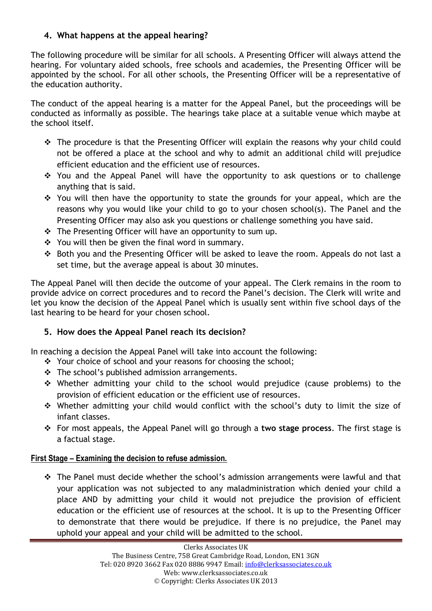# **4. What happens at the appeal hearing?**

The following procedure will be similar for all schools. A Presenting Officer will always attend the hearing. For voluntary aided schools, free schools and academies, the Presenting Officer will be appointed by the school. For all other schools, the Presenting Officer will be a representative of the education authority.

The conduct of the appeal hearing is a matter for the Appeal Panel, but the proceedings will be conducted as informally as possible. The hearings take place at a suitable venue which maybe at the school itself.

- The procedure is that the Presenting Officer will explain the reasons why your child could not be offered a place at the school and why to admit an additional child will prejudice efficient education and the efficient use of resources.
- \* You and the Appeal Panel will have the opportunity to ask questions or to challenge anything that is said.
- $\cdot$  You will then have the opportunity to state the grounds for your appeal, which are the reasons why you would like your child to go to your chosen school(s). The Panel and the Presenting Officer may also ask you questions or challenge something you have said.
- The Presenting Officer will have an opportunity to sum up.
- ❖ You will then be given the final word in summary.
- Both you and the Presenting Officer will be asked to leave the room. Appeals do not last a set time, but the average appeal is about 30 minutes.

The Appeal Panel will then decide the outcome of your appeal. The Clerk remains in the room to provide advice on correct procedures and to record the Panel's decision. The Clerk will write and let you know the decision of the Appeal Panel which is usually sent within five school days of the last hearing to be heard for your chosen school.

# **5. How does the Appeal Panel reach its decision?**

In reaching a decision the Appeal Panel will take into account the following:

- \* Your choice of school and your reasons for choosing the school;
- The school's published admission arrangements.
- Whether admitting your child to the school would prejudice (cause problems) to the provision of efficient education or the efficient use of resources.
- Whether admitting your child would conflict with the school's duty to limit the size of infant classes.
- For most appeals, the Appeal Panel will go through a **two stage process**. The first stage is a factual stage.

## **First Stage – Examining the decision to refuse admission.**

\* The Panel must decide whether the school's admission arrangements were lawful and that your application was not subjected to any maladministration which denied your child a place AND by admitting your child it would not prejudice the provision of efficient education or the efficient use of resources at the school. It is up to the Presenting Officer to demonstrate that there would be prejudice. If there is no prejudice, the Panel may uphold your appeal and your child will be admitted to the school.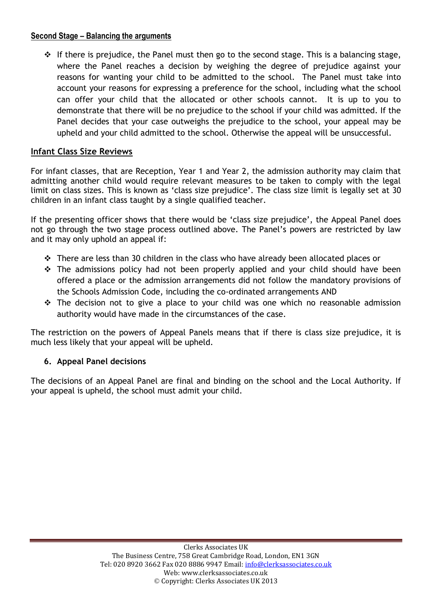## **Second Stage – Balancing the arguments**

 $\div$  If there is prejudice, the Panel must then go to the second stage. This is a balancing stage, where the Panel reaches a decision by weighing the degree of prejudice against your reasons for wanting your child to be admitted to the school. The Panel must take into account your reasons for expressing a preference for the school, including what the school can offer your child that the allocated or other schools cannot. It is up to you to demonstrate that there will be no prejudice to the school if your child was admitted. If the Panel decides that your case outweighs the prejudice to the school, your appeal may be upheld and your child admitted to the school. Otherwise the appeal will be unsuccessful.

## **Infant Class Size Reviews**

For infant classes, that are Reception, Year 1 and Year 2, the admission authority may claim that admitting another child would require relevant measures to be taken to comply with the legal limit on class sizes. This is known as 'class size prejudice'. The class size limit is legally set at 30 children in an infant class taught by a single qualified teacher.

If the presenting officer shows that there would be 'class size prejudice', the Appeal Panel does not go through the two stage process outlined above. The Panel's powers are restricted by law and it may only uphold an appeal if:

- There are less than 30 children in the class who have already been allocated places or
- The admissions policy had not been properly applied and your child should have been offered a place or the admission arrangements did not follow the mandatory provisions of the Schools Admission Code, including the co-ordinated arrangements AND
- $\div$  The decision not to give a place to your child was one which no reasonable admission authority would have made in the circumstances of the case.

The restriction on the powers of Appeal Panels means that if there is class size prejudice, it is much less likely that your appeal will be upheld.

## **6. Appeal Panel decisions**

The decisions of an Appeal Panel are final and binding on the school and the Local Authority. If your appeal is upheld, the school must admit your child.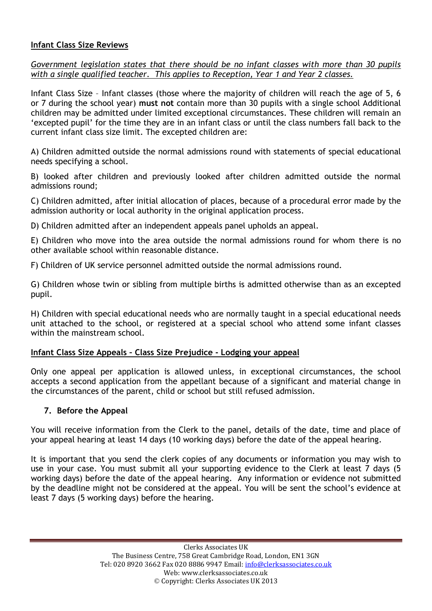#### **Infant Class Size Reviews**

*Government legislation states that there should be no infant classes with more than 30 pupils with a single qualified teacher. This applies to Reception, Year 1 and Year 2 classes.*

Infant Class Size – Infant classes (those where the majority of children will reach the age of 5, 6 or 7 during the school year) **must not** contain more than 30 pupils with a single school Additional children may be admitted under limited exceptional circumstances. These children will remain an 'excepted pupil' for the time they are in an infant class or until the class numbers fall back to the current infant class size limit. The excepted children are:

A) Children admitted outside the normal admissions round with statements of special educational needs specifying a school.

B) looked after children and previously looked after children admitted outside the normal admissions round;

C) Children admitted, after initial allocation of places, because of a procedural error made by the admission authority or local authority in the original application process.

D) Children admitted after an independent appeals panel upholds an appeal.

E) Children who move into the area outside the normal admissions round for whom there is no other available school within reasonable distance.

F) Children of UK service personnel admitted outside the normal admissions round.

G) Children whose twin or sibling from multiple births is admitted otherwise than as an excepted pupil.

H) Children with special educational needs who are normally taught in a special educational needs unit attached to the school, or registered at a special school who attend some infant classes within the mainstream school.

#### **Infant Class Size Appeals – Class Size Prejudice - Lodging your appeal**

Only one appeal per application is allowed unless, in exceptional circumstances, the school accepts a second application from the appellant because of a significant and material change in the circumstances of the parent, child or school but still refused admission.

#### **7. Before the Appeal**

You will receive information from the Clerk to the panel, details of the date, time and place of your appeal hearing at least 14 days (10 working days) before the date of the appeal hearing.

It is important that you send the clerk copies of any documents or information you may wish to use in your case. You must submit all your supporting evidence to the Clerk at least 7 days (5 working days) before the date of the appeal hearing. Any information or evidence not submitted by the deadline might not be considered at the appeal. You will be sent the school's evidence at least 7 days (5 working days) before the hearing.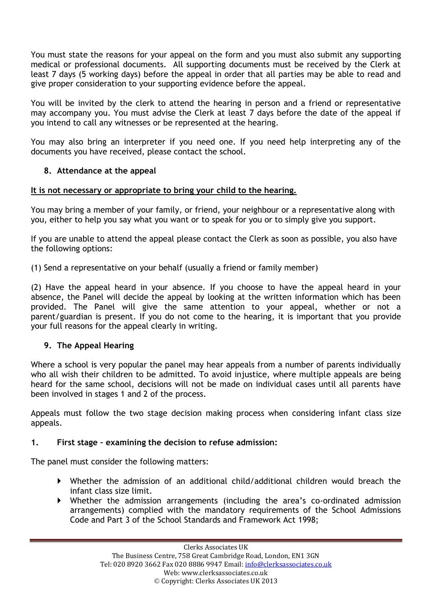You must state the reasons for your appeal on the form and you must also submit any supporting medical or professional documents. All supporting documents must be received by the Clerk at least 7 days (5 working days) before the appeal in order that all parties may be able to read and give proper consideration to your supporting evidence before the appeal.

You will be invited by the clerk to attend the hearing in person and a friend or representative may accompany you. You must advise the Clerk at least 7 days before the date of the appeal if you intend to call any witnesses or be represented at the hearing.

You may also bring an interpreter if you need one. If you need help interpreting any of the documents you have received, please contact the school.

## **8. Attendance at the appeal**

## **It is not necessary or appropriate to bring your child to the hearing.**

You may bring a member of your family, or friend, your neighbour or a representative along with you, either to help you say what you want or to speak for you or to simply give you support.

If you are unable to attend the appeal please contact the Clerk as soon as possible, you also have the following options:

(1) Send a representative on your behalf (usually a friend or family member)

(2) Have the appeal heard in your absence. If you choose to have the appeal heard in your absence, the Panel will decide the appeal by looking at the written information which has been provided. The Panel will give the same attention to your appeal, whether or not a parent/guardian is present. If you do not come to the hearing, it is important that you provide your full reasons for the appeal clearly in writing.

## **9. The Appeal Hearing**

Where a school is very popular the panel may hear appeals from a number of parents individually who all wish their children to be admitted. To avoid injustice, where multiple appeals are being heard for the same school, decisions will not be made on individual cases until all parents have been involved in stages 1 and 2 of the process.

Appeals must follow the two stage decision making process when considering infant class size appeals.

## **1. First stage – examining the decision to refuse admission:**

The panel must consider the following matters:

- Whether the admission of an additional child/additional children would breach the infant class size limit.
- Whether the admission arrangements (including the area's co-ordinated admission arrangements) complied with the mandatory requirements of the School Admissions Code and Part 3 of the School Standards and Framework Act 1998;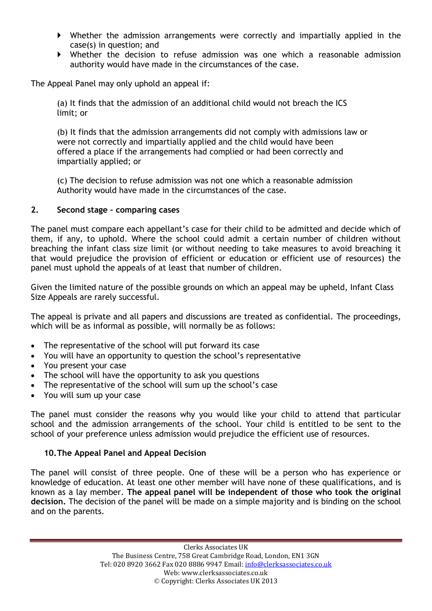- Whether the admission arrangements were correctly and impartially applied in the case(s) in question; and
- Whether the decision to refuse admission was one which a reasonable admission authority would have made in the circumstances of the case.

The Appeal Panel may only uphold an appeal if:

(a) It finds that the admission of an additional child would not breach the ICS limit; or

(b) It finds that the admission arrangements did not comply with admissions law or were not correctly and impartially applied and the child would have been offered a place if the arrangements had complied or had been correctly and impartially applied; or

(c) The decision to refuse admission was not one which a reasonable admission Authority would have made in the circumstances of the case.

#### **2. Second stage – comparing cases**

The panel must compare each appellant's case for their child to be admitted and decide which of them, if any, to uphold. Where the school could admit a certain number of children without breaching the infant class size limit (or without needing to take measures to avoid breaching it that would prejudice the provision of efficient or education or efficient use of resources) the panel must uphold the appeals of at least that number of children.

Given the limited nature of the possible grounds on which an appeal may be upheld, Infant Class Size Appeals are rarely successful.

The appeal is private and all papers and discussions are treated as confidential. The proceedings, which will be as informal as possible, will normally be as follows:

- The representative of the school will put forward its case
- You will have an opportunity to question the school's representative
- You present your case
- The school will have the opportunity to ask you questions
- The representative of the school will sum up the school's case
- You will sum up your case

The panel must consider the reasons why you would like your child to attend that particular school and the admission arrangements of the school. Your child is entitled to be sent to the school of your preference unless admission would prejudice the efficient use of resources.

#### **10.The Appeal Panel and Appeal Decision**

The panel will consist of three people. One of these will be a person who has experience or knowledge of education. At least one other member will have none of these qualifications, and is known as a lay member. **The appeal panel will be independent of those who took the original decision.** The decision of the panel will be made on a simple majority and is binding on the school and on the parents.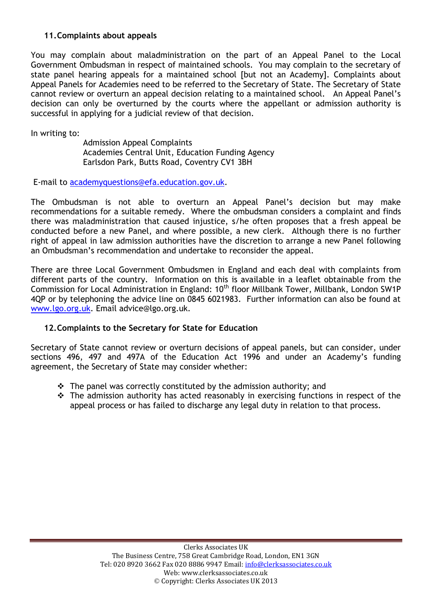## **11.Complaints about appeals**

You may complain about maladministration on the part of an Appeal Panel to the Local Government Ombudsman in respect of maintained schools. You may complain to the secretary of state panel hearing appeals for a maintained school [but not an Academy]. Complaints about Appeal Panels for Academies need to be referred to the Secretary of State. The Secretary of State cannot review or overturn an appeal decision relating to a maintained school. An Appeal Panel's decision can only be overturned by the courts where the appellant or admission authority is successful in applying for a judicial review of that decision.

In writing to:

Admission Appeal Complaints Academies Central Unit, Education Funding Agency Earlsdon Park, Butts Road, Coventry CV1 3BH

E-mail to [academyquestions@efa.education.gov.uk.](mailto:academyquestions@efa.education.gov.uk)

The Ombudsman is not able to overturn an Appeal Panel's decision but may make recommendations for a suitable remedy. Where the ombudsman considers a complaint and finds there was maladministration that caused injustice, s/he often proposes that a fresh appeal be conducted before a new Panel, and where possible, a new clerk. Although there is no further right of appeal in law admission authorities have the discretion to arrange a new Panel following an Ombudsman's recommendation and undertake to reconsider the appeal.

There are three Local Government Ombudsmen in England and each deal with complaints from different parts of the country. Information on this is available in a leaflet obtainable from the Commission for Local Administration in England: 10<sup>th</sup> floor Millbank Tower, Millbank, London SW1P 4QP or by telephoning the advice line on 0845 6021983. Further information can also be found at [www.lgo.org.uk.](http://www.lgo.org.uk/) Email advice@lgo.org.uk.

#### **12.Complaints to the Secretary for State for Education**

Secretary of State cannot review or overturn decisions of appeal panels, but can consider, under sections 496, 497 and 497A of the Education Act 1996 and under an Academy's funding agreement, the Secretary of State may consider whether:

- $\hat{P}$  The panel was correctly constituted by the admission authority; and
- $\hat{P}$  The admission authority has acted reasonably in exercising functions in respect of the appeal process or has failed to discharge any legal duty in relation to that process.